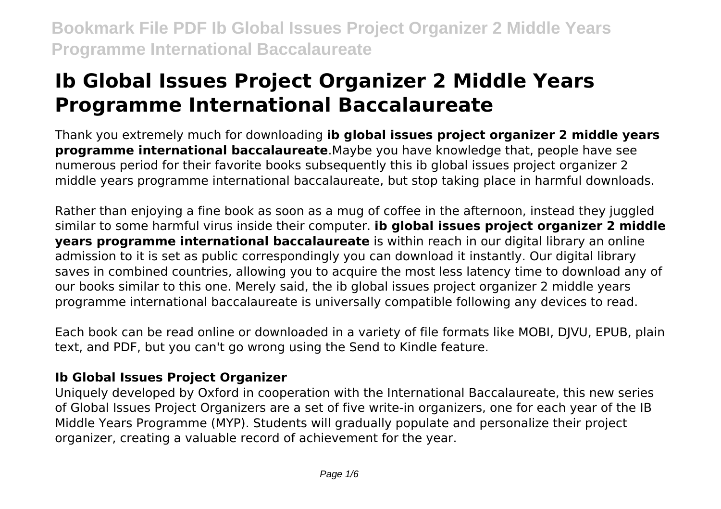# **Ib Global Issues Project Organizer 2 Middle Years Programme International Baccalaureate**

Thank you extremely much for downloading **ib global issues project organizer 2 middle years programme international baccalaureate**.Maybe you have knowledge that, people have see numerous period for their favorite books subsequently this ib global issues project organizer 2 middle years programme international baccalaureate, but stop taking place in harmful downloads.

Rather than enjoying a fine book as soon as a mug of coffee in the afternoon, instead they juggled similar to some harmful virus inside their computer. **ib global issues project organizer 2 middle years programme international baccalaureate** is within reach in our digital library an online admission to it is set as public correspondingly you can download it instantly. Our digital library saves in combined countries, allowing you to acquire the most less latency time to download any of our books similar to this one. Merely said, the ib global issues project organizer 2 middle years programme international baccalaureate is universally compatible following any devices to read.

Each book can be read online or downloaded in a variety of file formats like MOBI, DJVU, EPUB, plain text, and PDF, but you can't go wrong using the Send to Kindle feature.

### **Ib Global Issues Project Organizer**

Uniquely developed by Oxford in cooperation with the International Baccalaureate, this new series of Global Issues Project Organizers are a set of five write-in organizers, one for each year of the IB Middle Years Programme (MYP). Students will gradually populate and personalize their project organizer, creating a valuable record of achievement for the year.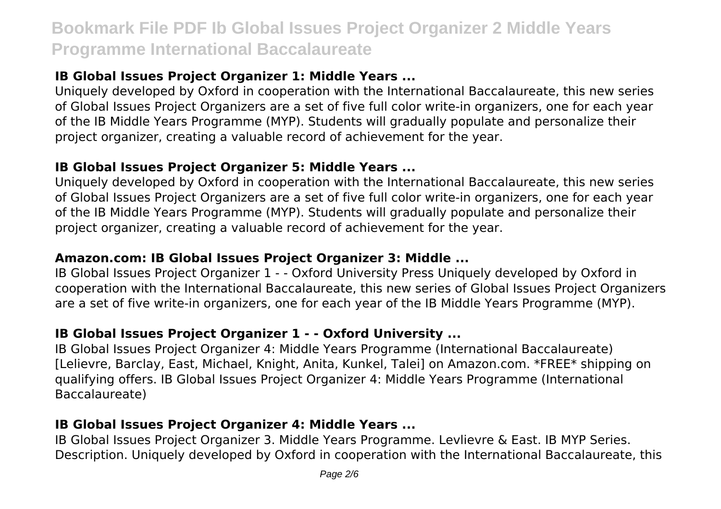### **IB Global Issues Project Organizer 1: Middle Years ...**

Uniquely developed by Oxford in cooperation with the International Baccalaureate, this new series of Global Issues Project Organizers are a set of five full color write-in organizers, one for each year of the IB Middle Years Programme (MYP). Students will gradually populate and personalize their project organizer, creating a valuable record of achievement for the year.

### **IB Global Issues Project Organizer 5: Middle Years ...**

Uniquely developed by Oxford in cooperation with the International Baccalaureate, this new series of Global Issues Project Organizers are a set of five full color write-in organizers, one for each year of the IB Middle Years Programme (MYP). Students will gradually populate and personalize their project organizer, creating a valuable record of achievement for the year.

## **Amazon.com: IB Global Issues Project Organizer 3: Middle ...**

IB Global Issues Project Organizer 1 - - Oxford University Press Uniquely developed by Oxford in cooperation with the International Baccalaureate, this new series of Global Issues Project Organizers are a set of five write-in organizers, one for each year of the IB Middle Years Programme (MYP).

## **IB Global Issues Project Organizer 1 - - Oxford University ...**

IB Global Issues Project Organizer 4: Middle Years Programme (International Baccalaureate) [Lelievre, Barclay, East, Michael, Knight, Anita, Kunkel, Talei] on Amazon.com. \*FREE\* shipping on qualifying offers. IB Global Issues Project Organizer 4: Middle Years Programme (International Baccalaureate)

## **IB Global Issues Project Organizer 4: Middle Years ...**

IB Global Issues Project Organizer 3. Middle Years Programme. Levlievre & East. IB MYP Series. Description. Uniquely developed by Oxford in cooperation with the International Baccalaureate, this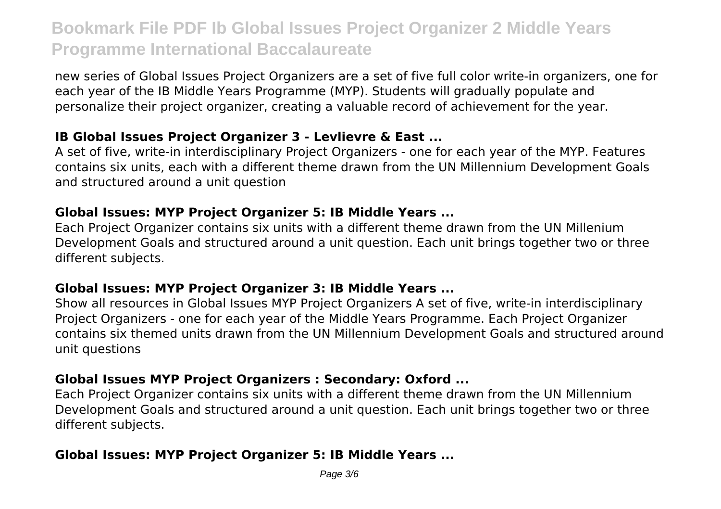new series of Global Issues Project Organizers are a set of five full color write-in organizers, one for each year of the IB Middle Years Programme (MYP). Students will gradually populate and personalize their project organizer, creating a valuable record of achievement for the year.

### **IB Global Issues Project Organizer 3 - Levlievre & East ...**

A set of five, write-in interdisciplinary Project Organizers - one for each year of the MYP. Features contains six units, each with a different theme drawn from the UN Millennium Development Goals and structured around a unit question

### **Global Issues: MYP Project Organizer 5: IB Middle Years ...**

Each Project Organizer contains six units with a different theme drawn from the UN Millenium Development Goals and structured around a unit question. Each unit brings together two or three different subjects.

### **Global Issues: MYP Project Organizer 3: IB Middle Years ...**

Show all resources in Global Issues MYP Project Organizers A set of five, write-in interdisciplinary Project Organizers - one for each year of the Middle Years Programme. Each Project Organizer contains six themed units drawn from the UN Millennium Development Goals and structured around unit questions

### **Global Issues MYP Project Organizers : Secondary: Oxford ...**

Each Project Organizer contains six units with a different theme drawn from the UN Millennium Development Goals and structured around a unit question. Each unit brings together two or three different subjects.

### **Global Issues: MYP Project Organizer 5: IB Middle Years ...**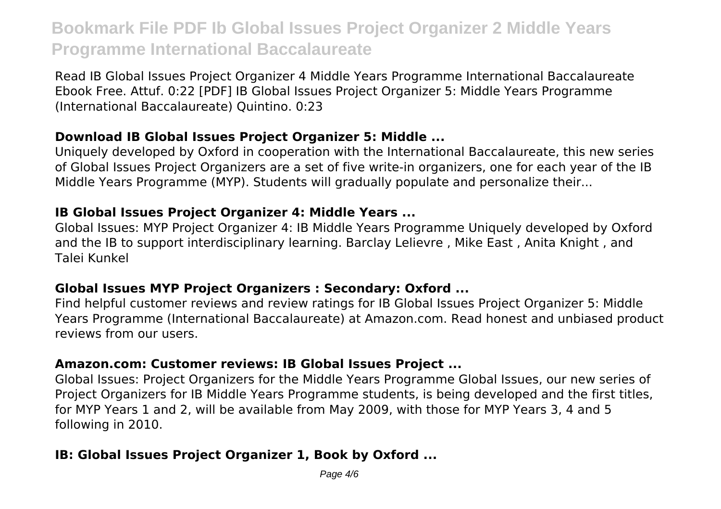Read IB Global Issues Project Organizer 4 Middle Years Programme International Baccalaureate Ebook Free. Attuf. 0:22 [PDF] IB Global Issues Project Organizer 5: Middle Years Programme (International Baccalaureate) Quintino. 0:23

#### **Download IB Global Issues Project Organizer 5: Middle ...**

Uniquely developed by Oxford in cooperation with the International Baccalaureate, this new series of Global Issues Project Organizers are a set of five write-in organizers, one for each year of the IB Middle Years Programme (MYP). Students will gradually populate and personalize their...

#### **IB Global Issues Project Organizer 4: Middle Years ...**

Global Issues: MYP Project Organizer 4: IB Middle Years Programme Uniquely developed by Oxford and the IB to support interdisciplinary learning. Barclay Lelievre , Mike East , Anita Knight , and Talei Kunkel

### **Global Issues MYP Project Organizers : Secondary: Oxford ...**

Find helpful customer reviews and review ratings for IB Global Issues Project Organizer 5: Middle Years Programme (International Baccalaureate) at Amazon.com. Read honest and unbiased product reviews from our users.

### **Amazon.com: Customer reviews: IB Global Issues Project ...**

Global Issues: Project Organizers for the Middle Years Programme Global Issues, our new series of Project Organizers for IB Middle Years Programme students, is being developed and the first titles, for MYP Years 1 and 2, will be available from May 2009, with those for MYP Years 3, 4 and 5 following in 2010.

### **IB: Global Issues Project Organizer 1, Book by Oxford ...**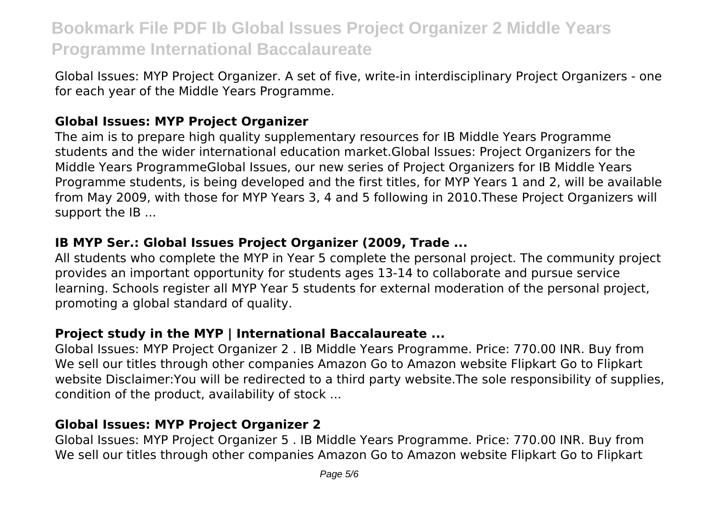Global Issues: MYP Project Organizer. A set of five, write-in interdisciplinary Project Organizers - one for each year of the Middle Years Programme.

### **Global Issues: MYP Project Organizer**

The aim is to prepare high quality supplementary resources for IB Middle Years Programme students and the wider international education market.Global Issues: Project Organizers for the Middle Years ProgrammeGlobal Issues, our new series of Project Organizers for IB Middle Years Programme students, is being developed and the first titles, for MYP Years 1 and 2, will be available from May 2009, with those for MYP Years 3, 4 and 5 following in 2010.These Project Organizers will support the IB ...

### **IB MYP Ser.: Global Issues Project Organizer (2009, Trade ...**

All students who complete the MYP in Year 5 complete the personal project. The community project provides an important opportunity for students ages 13-14 to collaborate and pursue service learning. Schools register all MYP Year 5 students for external moderation of the personal project, promoting a global standard of quality.

### **Project study in the MYP | International Baccalaureate ...**

Global Issues: MYP Project Organizer 2 . IB Middle Years Programme. Price: 770.00 INR. Buy from We sell our titles through other companies Amazon Go to Amazon website Flipkart Go to Flipkart website Disclaimer:You will be redirected to a third party website.The sole responsibility of supplies, condition of the product, availability of stock ...

## **Global Issues: MYP Project Organizer 2**

Global Issues: MYP Project Organizer 5 . IB Middle Years Programme. Price: 770.00 INR. Buy from We sell our titles through other companies Amazon Go to Amazon website Flipkart Go to Flipkart